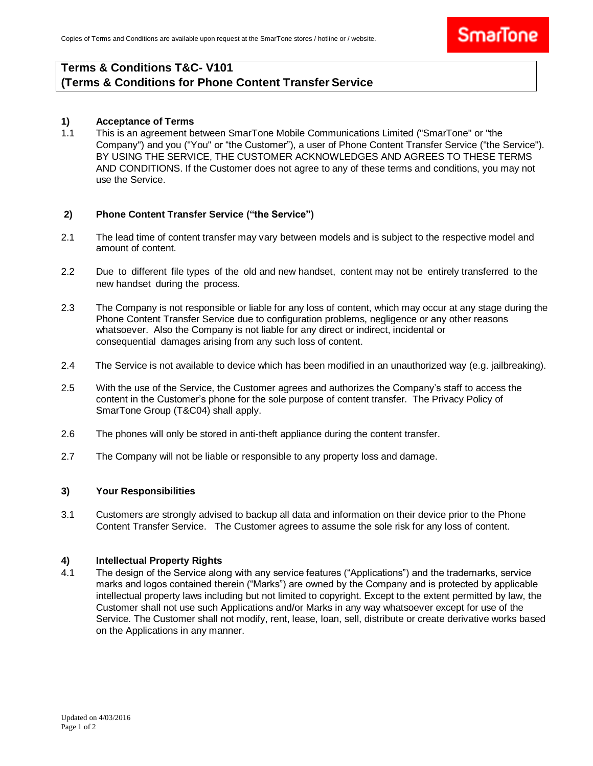## **Terms & Conditions T&C- V101 (Terms & Conditions for Phone Content Transfer Service**

### **1) Acceptance of Terms**

1.1 This is an agreement between SmarTone Mobile Communications Limited ("SmarTone" or "the Company") and you ("You" or "the Customer"), a user of Phone Content Transfer Service ("the Service"). BY USING THE SERVICE, THE CUSTOMER ACKNOWLEDGES AND AGREES TO THESE TERMS AND CONDITIONS. If the Customer does not agree to any of these terms and conditions, you may not use the Service.

### **2) Phone Content Transfer Service ("the Service")**

- 2.1 The lead time of content transfer may vary between models and is subject to the respective model and amount of content.
- 2.2 Due to different file types of the old and new handset, content may not be entirely transferred to the new handset during the process.
- 2.3 The Company is not responsible or liable for any loss of content, which may occur at any stage during the Phone Content Transfer Service due to configuration problems, negligence or any other reasons whatsoever. Also the Company is not liable for any direct or indirect, incidental or consequential damages arising from any such loss of content.
- 2.4 The Service is not available to device which has been modified in an unauthorized way (e.g. jailbreaking).
- 2.5 With the use of the Service, the Customer agrees and authorizes the Company's staff to access the content in the Customer's phone for the sole purpose of content transfer. The Privacy Policy of SmarTone Group (T&C04) shall apply.
- 2.6 The phones will only be stored in anti-theft appliance during the content transfer.
- 2.7 The Company will not be liable or responsible to any property loss and damage.

### **3) Your Responsibilities**

3.1 Customers are strongly advised to backup all data and information on their device prior to the Phone Content Transfer Service. The Customer agrees to assume the sole risk for any loss of content.

#### **4) Intellectual Property Rights**

4.1 The design of the Service along with any service features ("Applications") and the trademarks, service marks and logos contained therein ("Marks") are owned by the Company and is protected by applicable intellectual property laws including but not limited to copyright. Except to the extent permitted by law, the Customer shall not use such Applications and/or Marks in any way whatsoever except for use of the Service. The Customer shall not modify, rent, lease, loan, sell, distribute or create derivative works based on the Applications in any manner.